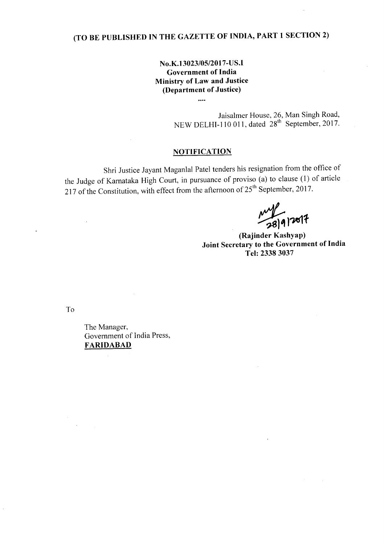# **(TO BE PUBLISHED IN THE GAZETTE OF INDIA, PART 1 SECTION 2)**

## **No.K.l3023/05/2017-US.I Government of India Ministry of Law and Justice (Department of Justice)**

 $\ddotsc$ 

Jaisalmer House, 26, Man Singh Road, NEW DELHI-110 011, dated  $28<sup>th</sup>$  September, 2017.

### **NOTIFICATION**

Shri Justice Jayant Maganlal Patel tenders his resignation from the office of the Judge of Karnataka High Court, in pursuance of proviso (a) to clause (l) of article 217 of the Constitution, with effect from the afternoon of  $25<sup>th</sup>$  September, 2017.

 $\frac{1}{18|9|}$   $2017$ 

**(Rajinder Kashyap) Joint Secretary to the Government of India Tel: 23383037**

To

The Manager, Government of India Press, **FARIDABAD**